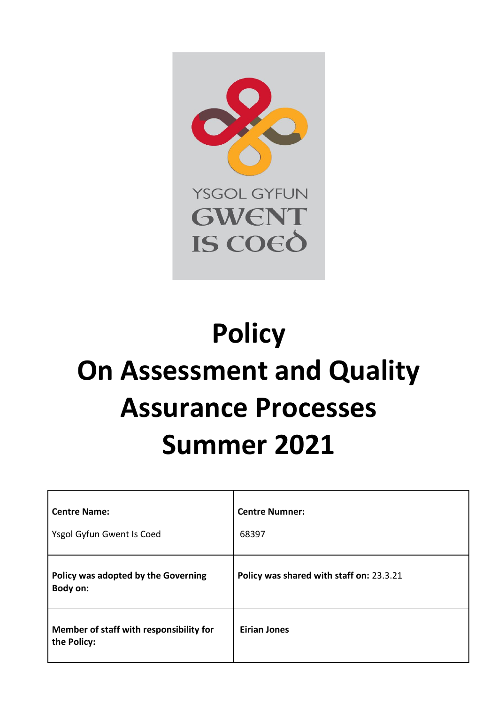<span id="page-0-0"></span>

# **Policy On Assessment and Quality Assurance Processes Summer 2021**

| <b>Centre Name:</b><br>Ysgol Gyfun Gwent Is Coed       | <b>Centre Numner:</b><br>68397           |
|--------------------------------------------------------|------------------------------------------|
| Policy was adopted by the Governing<br>Body on:        | Policy was shared with staff on: 23.3.21 |
| Member of staff with responsibility for<br>the Policy: | <b>Eirian Jones</b>                      |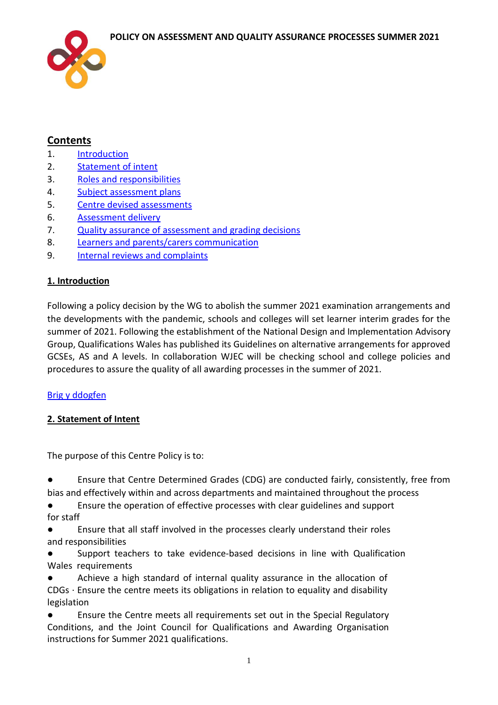

# **Contents**

- 1. [Introduction](#page-1-0)
- 2. [Statement of intent](#page-1-1)
- 3. [Roles and responsibilities](#page-3-0)
- 4. [Subject assessment plans](#page-3-0)
- 5. [Centre devised assessments](#page-4-0)
- 6. [Assessment delivery](#page-5-0)
- 7. [Quality assurance of assessment and grading decisions](#page-6-0)
- 8. [Learners and parents/carers communication](#page-7-0)
- 9. [Internal reviews and complaints](#page-8-0)

# <span id="page-1-0"></span>**1. Introduction**

Following a policy decision by the WG to abolish the summer 2021 examination arrangements and the developments with the pandemic, schools and colleges will set learner interim grades for the summer of 2021. Following the establishment of the National Design and Implementation Advisory Group, Qualifications Wales has published its Guidelines on alternative arrangements for approved GCSEs, AS and A levels. In collaboration WJEC will be checking school and college policies and procedures to assure the quality of all awarding processes in the summer of 2021.

# [Brig y ddogfen](#page-0-0)

# <span id="page-1-1"></span>**2. Statement of Intent**

The purpose of this Centre Policy is to:

● Ensure that Centre Determined Grades (CDG) are conducted fairly, consistently, free from bias and effectively within and across departments and maintained throughout the process

● Ensure the operation of effective processes with clear guidelines and support for staff

● Ensure that all staff involved in the processes clearly understand their roles and responsibilities

Support teachers to take evidence-based decisions in line with Qualification Wales requirements

Achieve a high standard of internal quality assurance in the allocation of CDGs ∙ Ensure the centre meets its obligations in relation to equality and disability legislation

Ensure the Centre meets all requirements set out in the Special Regulatory Conditions, and the Joint Council for Qualifications and Awarding Organisation instructions for Summer 2021 qualifications.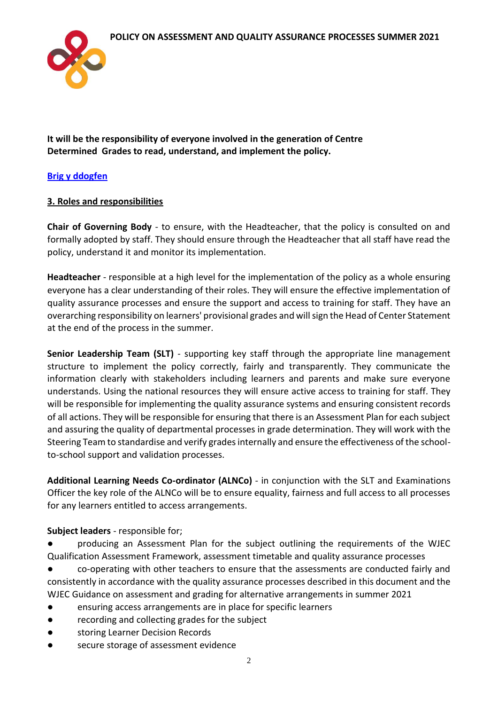

**It will be the responsibility of everyone involved in the generation of Centre Determined Grades to read, understand, and implement the policy.** 

# **[Brig y ddogfen](#page-0-0)**

# **3. Roles and responsibilities**

**Chair of Governing Body** - to ensure, with the Headteacher, that the policy is consulted on and formally adopted by staff. They should ensure through the Headteacher that all staff have read the policy, understand it and monitor its implementation.

**Headteacher** - responsible at a high level for the implementation of the policy as a whole ensuring everyone has a clear understanding of their roles. They will ensure the effective implementation of quality assurance processes and ensure the support and access to training for staff. They have an overarching responsibility on learners' provisional grades and will sign the Head of Center Statement at the end of the process in the summer.

**Senior Leadership Team (SLT)** - supporting key staff through the appropriate line management structure to implement the policy correctly, fairly and transparently. They communicate the information clearly with stakeholders including learners and parents and make sure everyone understands. Using the national resources they will ensure active access to training for staff. They will be responsible for implementing the quality assurance systems and ensuring consistent records of all actions. They will be responsible for ensuring that there is an Assessment Plan for each subject and assuring the quality of departmental processes in grade determination. They will work with the Steering Team to standardise and verify grades internally and ensure the effectiveness of the schoolto-school support and validation processes.

**Additional Learning Needs Co-ordinator (ALNCo)** - in conjunction with the SLT and Examinations Officer the key role of the ALNCo will be to ensure equality, fairness and full access to all processes for any learners entitled to access arrangements.

#### **Subject leaders** - responsible for;

● producing an Assessment Plan for the subject outlining the requirements of the WJEC Qualification Assessment Framework, assessment timetable and quality assurance processes

co-operating with other teachers to ensure that the assessments are conducted fairly and consistently in accordance with the quality assurance processes described in this document and the WJEC Guidance on assessment and grading for alternative arrangements in summer 2021

- ensuring access arrangements are in place for specific learners
- recording and collecting grades for the subject
- storing Learner Decision Records
- secure storage of assessment evidence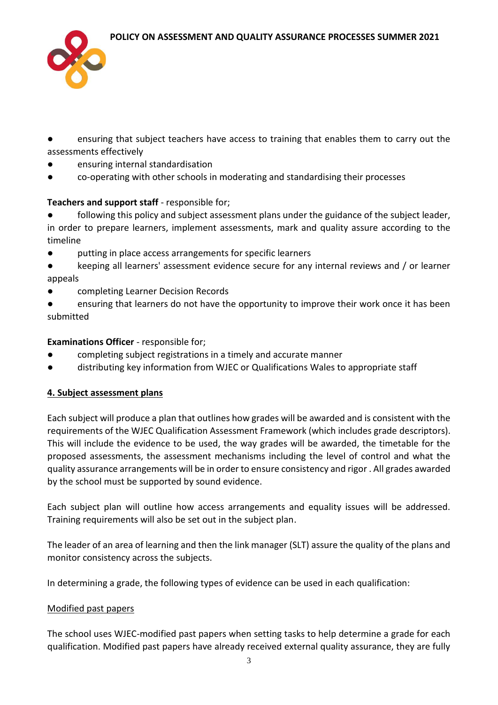

● ensuring that subject teachers have access to training that enables them to carry out the assessments effectively

- ensuring internal standardisation
- co-operating with other schools in moderating and standardising their processes

# **Teachers and support staff** - responsible for;

- following this policy and subject assessment plans under the guidance of the subject leader, in order to prepare learners, implement assessments, mark and quality assure according to the timeline
- putting in place access arrangements for specific learners
- keeping all learners' assessment evidence secure for any internal reviews and / or learner appeals
- completing Learner Decision Records
- ensuring that learners do not have the opportunity to improve their work once it has been submitted

# **Examinations Officer** - responsible for;

- completing subject registrations in a timely and accurate manner
- distributing key information from WJEC or Qualifications Wales to appropriate staff

# <span id="page-3-0"></span>**4. Subject assessment plans**

Each subject will produce a plan that outlines how grades will be awarded and is consistent with the requirements of the WJEC Qualification Assessment Framework (which includes grade descriptors). This will include the evidence to be used, the way grades will be awarded, the timetable for the proposed assessments, the assessment mechanisms including the level of control and what the quality assurance arrangements will be in order to ensure consistency and rigor . All grades awarded by the school must be supported by sound evidence.

Each subject plan will outline how access arrangements and equality issues will be addressed. Training requirements will also be set out in the subject plan.

The leader of an area of learning and then the link manager (SLT) assure the quality of the plans and monitor consistency across the subjects.

In determining a grade, the following types of evidence can be used in each qualification:

# Modified past papers

The school uses WJEC-modified past papers when setting tasks to help determine a grade for each qualification. Modified past papers have already received external quality assurance, they are fully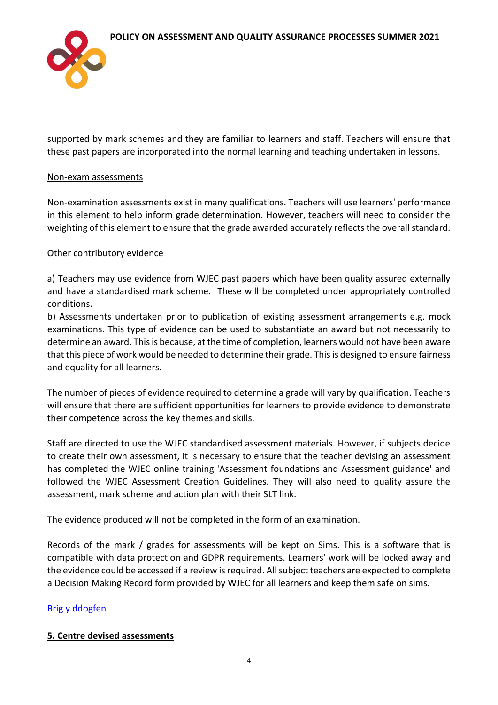

supported by mark schemes and they are familiar to learners and staff. Teachers will ensure that these past papers are incorporated into the normal learning and teaching undertaken in lessons.

#### Non-exam assessments

Non-examination assessments exist in many qualifications. Teachers will use learners' performance in this element to help inform grade determination. However, teachers will need to consider the weighting of this element to ensure that the grade awarded accurately reflects the overall standard.

#### Other contributory evidence

a) Teachers may use evidence from WJEC past papers which have been quality assured externally and have a standardised mark scheme. These will be completed under appropriately controlled conditions.

b) Assessments undertaken prior to publication of existing assessment arrangements e.g. mock examinations. This type of evidence can be used to substantiate an award but not necessarily to determine an award. This is because, at the time of completion, learners would not have been aware that this piece of work would be needed to determine their grade. This is designed to ensure fairness and equality for all learners.

The number of pieces of evidence required to determine a grade will vary by qualification. Teachers will ensure that there are sufficient opportunities for learners to provide evidence to demonstrate their competence across the key themes and skills.

Staff are directed to use the WJEC standardised assessment materials. However, if subjects decide to create their own assessment, it is necessary to ensure that the teacher devising an assessment has completed the WJEC online training 'Assessment foundations and Assessment guidance' and followed the WJEC Assessment Creation Guidelines. They will also need to quality assure the assessment, mark scheme and action plan with their SLT link.

The evidence produced will not be completed in the form of an examination.

Records of the mark / grades for assessments will be kept on Sims. This is a software that is compatible with data protection and GDPR requirements. Learners' work will be locked away and the evidence could be accessed if a review is required. All subject teachers are expected to complete a Decision Making Record form provided by WJEC for all learners and keep them safe on sims.

# [Brig y ddogfen](#page-0-0)

# <span id="page-4-0"></span>**5. Centre devised assessments**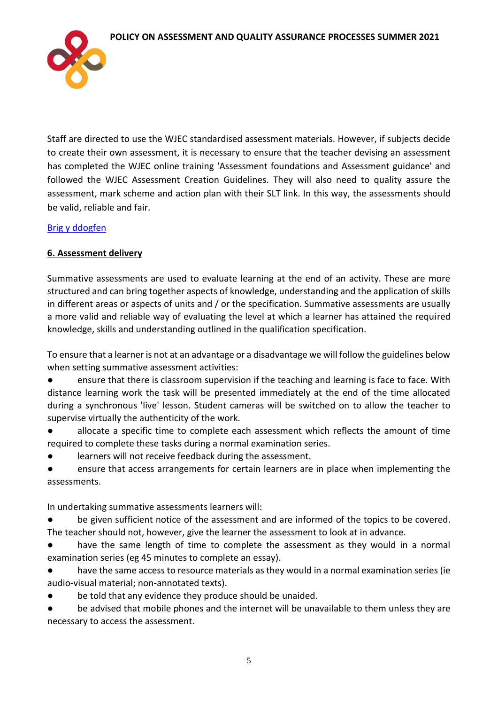

Staff are directed to use the WJEC standardised assessment materials. However, if subjects decide to create their own assessment, it is necessary to ensure that the teacher devising an assessment has completed the WJEC online training 'Assessment foundations and Assessment guidance' and followed the WJEC Assessment Creation Guidelines. They will also need to quality assure the assessment, mark scheme and action plan with their SLT link. In this way, the assessments should be valid, reliable and fair.

# [Brig y ddogfen](#page-0-0)

# <span id="page-5-0"></span>**6. Assessment delivery**

Summative assessments are used to evaluate learning at the end of an activity. These are more structured and can bring together aspects of knowledge, understanding and the application of skills in different areas or aspects of units and / or the specification. Summative assessments are usually a more valid and reliable way of evaluating the level at which a learner has attained the required knowledge, skills and understanding outlined in the qualification specification.

To ensure that a learner is not at an advantage or a disadvantage we will follow the guidelines below when setting summative assessment activities:

● ensure that there is classroom supervision if the teaching and learning is face to face. With distance learning work the task will be presented immediately at the end of the time allocated during a synchronous 'live' lesson. Student cameras will be switched on to allow the teacher to supervise virtually the authenticity of the work.

● allocate a specific time to complete each assessment which reflects the amount of time required to complete these tasks during a normal examination series.

learners will not receive feedback during the assessment.

ensure that access arrangements for certain learners are in place when implementing the assessments.

In undertaking summative assessments learners will:

be given sufficient notice of the assessment and are informed of the topics to be covered. The teacher should not, however, give the learner the assessment to look at in advance.

● have the same length of time to complete the assessment as they would in a normal examination series (eg 45 minutes to complete an essay).

● have the same access to resource materials as they would in a normal examination series (ie audio-visual material; non-annotated texts).

be told that any evidence they produce should be unaided.

● be advised that mobile phones and the internet will be unavailable to them unless they are necessary to access the assessment.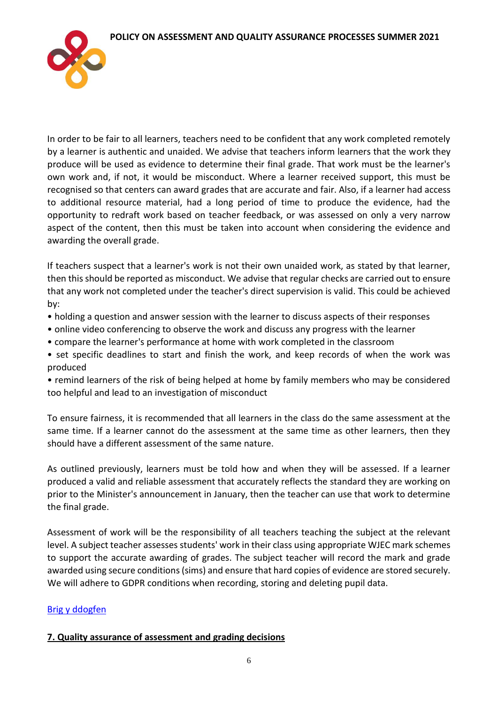

In order to be fair to all learners, teachers need to be confident that any work completed remotely by a learner is authentic and unaided. We advise that teachers inform learners that the work they produce will be used as evidence to determine their final grade. That work must be the learner's own work and, if not, it would be misconduct. Where a learner received support, this must be recognised so that centers can award grades that are accurate and fair. Also, if a learner had access to additional resource material, had a long period of time to produce the evidence, had the opportunity to redraft work based on teacher feedback, or was assessed on only a very narrow aspect of the content, then this must be taken into account when considering the evidence and awarding the overall grade.

If teachers suspect that a learner's work is not their own unaided work, as stated by that learner, then this should be reported as misconduct. We advise that regular checks are carried out to ensure that any work not completed under the teacher's direct supervision is valid. This could be achieved by:

- holding a question and answer session with the learner to discuss aspects of their responses
- online video conferencing to observe the work and discuss any progress with the learner
- compare the learner's performance at home with work completed in the classroom
- set specific deadlines to start and finish the work, and keep records of when the work was produced

• remind learners of the risk of being helped at home by family members who may be considered too helpful and lead to an investigation of misconduct

To ensure fairness, it is recommended that all learners in the class do the same assessment at the same time. If a learner cannot do the assessment at the same time as other learners, then they should have a different assessment of the same nature.

As outlined previously, learners must be told how and when they will be assessed. If a learner produced a valid and reliable assessment that accurately reflects the standard they are working on prior to the Minister's announcement in January, then the teacher can use that work to determine the final grade.

Assessment of work will be the responsibility of all teachers teaching the subject at the relevant level. A subject teacher assesses students' work in their class using appropriate WJEC mark schemes to support the accurate awarding of grades. The subject teacher will record the mark and grade awarded using secure conditions (sims) and ensure that hard copies of evidence are stored securely. We will adhere to GDPR conditions when recording, storing and deleting pupil data.

# [Brig y ddogfen](#page-0-0)

# <span id="page-6-0"></span>**7. Quality assurance of assessment and grading decisions**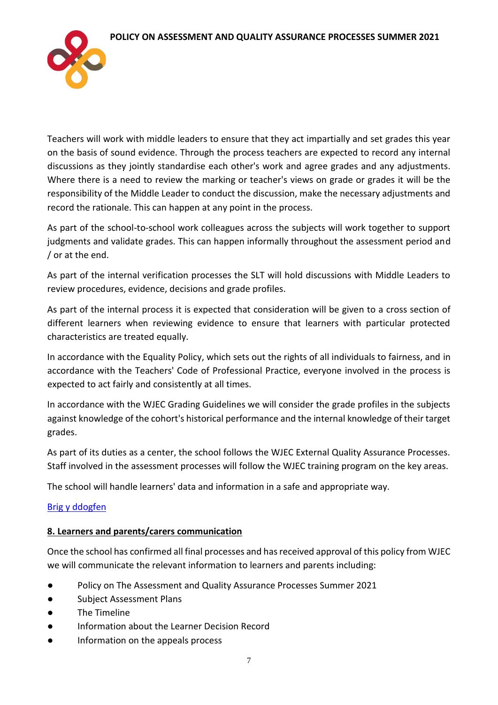

Teachers will work with middle leaders to ensure that they act impartially and set grades this year on the basis of sound evidence. Through the process teachers are expected to record any internal discussions as they jointly standardise each other's work and agree grades and any adjustments. Where there is a need to review the marking or teacher's views on grade or grades it will be the responsibility of the Middle Leader to conduct the discussion, make the necessary adjustments and record the rationale. This can happen at any point in the process.

As part of the school-to-school work colleagues across the subjects will work together to support judgments and validate grades. This can happen informally throughout the assessment period and / or at the end.

As part of the internal verification processes the SLT will hold discussions with Middle Leaders to review procedures, evidence, decisions and grade profiles.

As part of the internal process it is expected that consideration will be given to a cross section of different learners when reviewing evidence to ensure that learners with particular protected characteristics are treated equally.

In accordance with the Equality Policy, which sets out the rights of all individuals to fairness, and in accordance with the Teachers' Code of Professional Practice, everyone involved in the process is expected to act fairly and consistently at all times.

In accordance with the WJEC Grading Guidelines we will consider the grade profiles in the subjects against knowledge of the cohort's historical performance and the internal knowledge of their target grades.

As part of its duties as a center, the school follows the WJEC External Quality Assurance Processes. Staff involved in the assessment processes will follow the WJEC training program on the key areas.

The school will handle learners' data and information in a safe and appropriate way.

# [Brig y ddogfen](#page-0-0)

# <span id="page-7-0"></span>**8. Learners and parents/carers communication**

Once the school has confirmed all final processes and has received approval of this policy from WJEC we will communicate the relevant information to learners and parents including:

- Policy on The Assessment and Quality Assurance Processes Summer 2021
- Subject Assessment Plans
- The Timeline
- Information about the Learner Decision Record
- Information on the appeals process